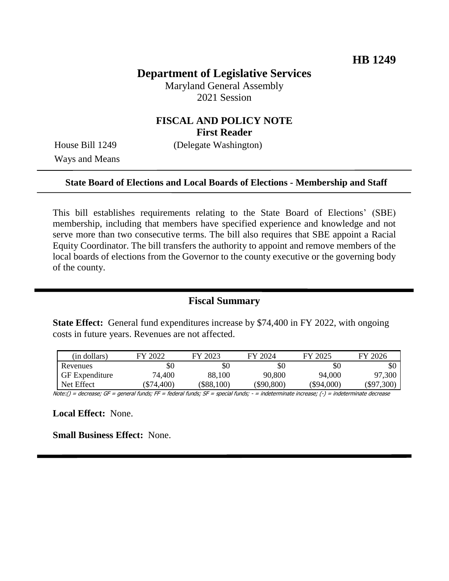# **Department of Legislative Services**

Maryland General Assembly 2021 Session

# **FISCAL AND POLICY NOTE First Reader**

Ways and Means

House Bill 1249 (Delegate Washington)

#### **State Board of Elections and Local Boards of Elections - Membership and Staff**

This bill establishes requirements relating to the State Board of Elections' (SBE) membership, including that members have specified experience and knowledge and not serve more than two consecutive terms. The bill also requires that SBE appoint a Racial Equity Coordinator. The bill transfers the authority to appoint and remove members of the local boards of elections from the Governor to the county executive or the governing body of the county.

## **Fiscal Summary**

**State Effect:** General fund expenditures increase by \$74,400 in FY 2022, with ongoing costs in future years. Revenues are not affected.

| (in dollars)          | FY 2022  | FY 2023  | FY 2024      | FY 2025      | FY 2026    |
|-----------------------|----------|----------|--------------|--------------|------------|
| Revenues              | \$0      | \$0      | \$0          | \$0          | \$0        |
| <b>GF</b> Expenditure | 74,400   | 88,100   | 90,800       | 94,000       | 97,300     |
| Net Effect            | \$74,400 | \$88,100 | $(\$90,800)$ | $(\$94,000)$ | (\$97,300) |

Note:() = decrease; GF = general funds; FF = federal funds; SF = special funds; - = indeterminate increase; (-) = indeterminate decrease

**Local Effect:** None.

**Small Business Effect:** None.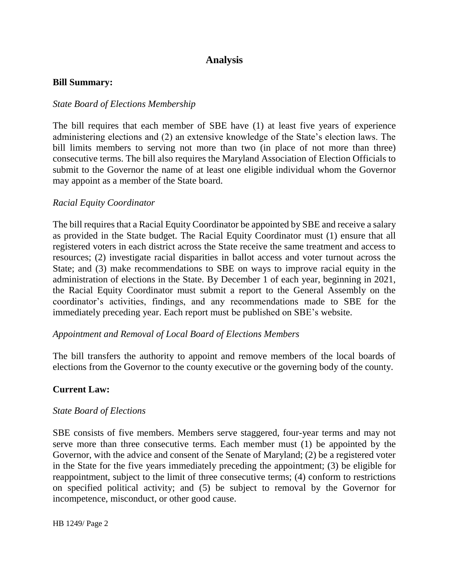# **Analysis**

#### **Bill Summary:**

### *State Board of Elections Membership*

The bill requires that each member of SBE have (1) at least five years of experience administering elections and (2) an extensive knowledge of the State's election laws. The bill limits members to serving not more than two (in place of not more than three) consecutive terms. The bill also requires the Maryland Association of Election Officials to submit to the Governor the name of at least one eligible individual whom the Governor may appoint as a member of the State board.

### *Racial Equity Coordinator*

The bill requires that a Racial Equity Coordinator be appointed by SBE and receive a salary as provided in the State budget. The Racial Equity Coordinator must (1) ensure that all registered voters in each district across the State receive the same treatment and access to resources; (2) investigate racial disparities in ballot access and voter turnout across the State; and (3) make recommendations to SBE on ways to improve racial equity in the administration of elections in the State. By December 1 of each year, beginning in 2021, the Racial Equity Coordinator must submit a report to the General Assembly on the coordinator's activities, findings, and any recommendations made to SBE for the immediately preceding year. Each report must be published on SBE's website.

### *Appointment and Removal of Local Board of Elections Members*

The bill transfers the authority to appoint and remove members of the local boards of elections from the Governor to the county executive or the governing body of the county.

### **Current Law:**

### *State Board of Elections*

SBE consists of five members. Members serve staggered, four-year terms and may not serve more than three consecutive terms. Each member must (1) be appointed by the Governor, with the advice and consent of the Senate of Maryland; (2) be a registered voter in the State for the five years immediately preceding the appointment; (3) be eligible for reappointment, subject to the limit of three consecutive terms; (4) conform to restrictions on specified political activity; and (5) be subject to removal by the Governor for incompetence, misconduct, or other good cause.

HB 1249/ Page 2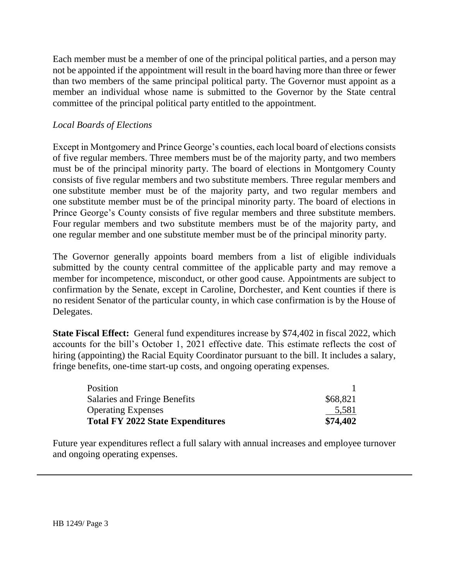Each member must be a member of one of the principal political parties, and a person may not be appointed if the appointment will result in the board having more than three or fewer than two members of the same principal political party. The Governor must appoint as a member an individual whose name is submitted to the Governor by the State central committee of the principal political party entitled to the appointment.

# *Local Boards of Elections*

Except in Montgomery and Prince George's counties, each local board of elections consists of five regular members. Three members must be of the majority party, and two members must be of the principal minority party. The board of elections in Montgomery County consists of five regular members and two substitute members. Three regular members and one substitute member must be of the majority party, and two regular members and one substitute member must be of the principal minority party. The board of elections in Prince George's County consists of five regular members and three substitute members. Four regular members and two substitute members must be of the majority party, and one regular member and one substitute member must be of the principal minority party.

The Governor generally appoints board members from a list of eligible individuals submitted by the county central committee of the applicable party and may remove a member for incompetence, misconduct, or other good cause. Appointments are subject to confirmation by the Senate, except in Caroline, Dorchester, and Kent counties if there is no resident Senator of the particular county, in which case confirmation is by the House of Delegates.

**State Fiscal Effect:** General fund expenditures increase by \$74,402 in fiscal 2022, which accounts for the bill's October 1, 2021 effective date. This estimate reflects the cost of hiring (appointing) the Racial Equity Coordinator pursuant to the bill. It includes a salary, fringe benefits, one-time start-up costs, and ongoing operating expenses.

| <b>Total FY 2022 State Expenditures</b> | \$74,402 |
|-----------------------------------------|----------|
| <b>Operating Expenses</b>               | 5,581    |
| Salaries and Fringe Benefits            | \$68,821 |
| Position                                |          |

Future year expenditures reflect a full salary with annual increases and employee turnover and ongoing operating expenses.